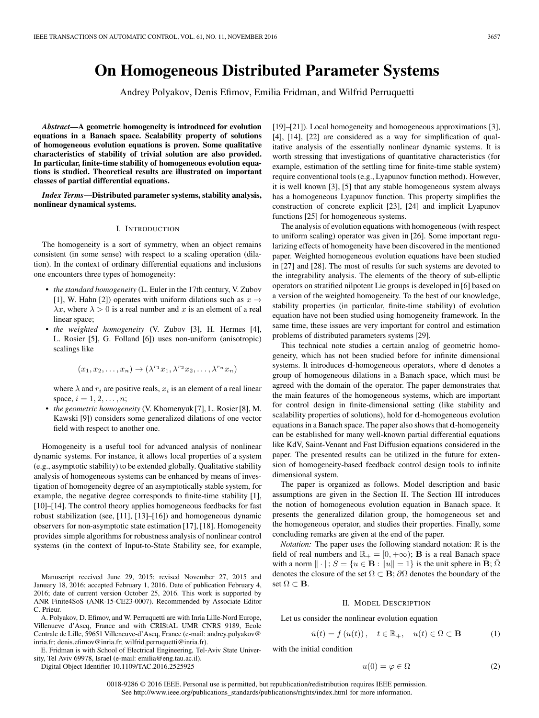# **On Homogeneous Distributed Parameter Systems**

Andrey Polyakov, Denis Efimov, Emilia Fridman, and Wilfrid Perruquetti

*Abstract***—A geometric homogeneity is introduced for evolution equations in a Banach space. Scalability property of solutions of homogeneous evolution equations is proven. Some qualitative characteristics of stability of trivial solution are also provided. In particular, finite-time stability of homogeneous evolution equations is studied. Theoretical results are illustrated on important classes of partial differential equations.**

*Index Terms***—Distributed parameter systems, stability analysis, nonlinear dynamical systems.**

#### I. INTRODUCTION

The homogeneity is a sort of symmetry, when an object remains consistent (in some sense) with respect to a scaling operation (dilation). In the context of ordinary differential equations and inclusions one encounters three types of homogeneity:

- *the standard homogeneity* (L. Euler in the 17th century, V. Zubov [1], W. Hahn [2]) operates with uniform dilations such as  $x \rightarrow$  $\lambda x$ , where  $\lambda > 0$  is a real number and x is an element of a real linear space;
- *the weighted homogeneity* (V. Zubov [3], H. Hermes [4], L. Rosier [5], G. Folland [6]) uses non-uniform (anisotropic) scalings like

$$
(x_1, x_2, \ldots, x_n) \to (\lambda^{r_1} x_1, \lambda^{r_2} x_2, \ldots, \lambda^{r_n} x_n)
$$

where  $\lambda$  and  $r_i$  are positive reals,  $x_i$  is an element of a real linear space,  $i = 1, 2, ..., n$ ;

• *the geometric homogeneity* (V. Khomenyuk [7], L. Rosier [8], M. Kawski [9]) considers some generalized dilations of one vector field with respect to another one.

Homogeneity is a useful tool for advanced analysis of nonlinear dynamic systems. For instance, it allows local properties of a system (e.g., asymptotic stability) to be extended globally. Qualitative stability analysis of homogeneous systems can be enhanced by means of investigation of homogeneity degree of an asymptotically stable system, for example, the negative degree corresponds to finite-time stability [1], [10]–[14]. The control theory applies homogeneous feedbacks for fast robust stabilization (see, [11], [13]–[16]) and homogeneous dynamic observers for non-asymptotic state estimation [17], [18]. Homogeneity provides simple algorithms for robustness analysis of nonlinear control systems (in the context of Input-to-State Stability see, for example,

Manuscript received June 29, 2015; revised November 27, 2015 and January 18, 2016; accepted February 1, 2016. Date of publication February 4, 2016; date of current version October 25, 2016. This work is supported by ANR Finite4SoS (ANR-15-CE23-0007). Recommended by Associate Editor C. Prieur.

A. Polyakov, D. Efimov, and W. Perruquetti are with Inria Lille-Nord Europe, Villenueve d'Ascq, France and with CRIStAL UMR CNRS 9189, Ecole Centrale de Lille, 59651 Villeneuve-d'Ascq, France (e-mail: andrey.polyakov@ inria.fr; denis.efimov@inria.fr; wilfrid.perruquetti@inria.fr).

E. Fridman is with School of Electrical Engineering, Tel-Aviv State University, Tel Aviv 69978, Israel (e-mail: emilia@eng.tau.ac.il).

Digital Object Identifier 10.1109/TAC.2016.2525925

[19]–[21]). Local homogeneity and homogeneous approximations [3], [4], [14], [22] are considered as a way for simplification of qualitative analysis of the essentially nonlinear dynamic systems. It is worth stressing that investigations of quantitative characteristics (for example, estimation of the settling time for finite-time stable system) require conventional tools (e.g., Lyapunov function method). However, it is well known [3], [5] that any stable homogeneous system always has a homogeneous Lyapunov function. This property simplifies the construction of concrete explicit [23], [24] and implicit Lyapunov functions [25] for homogeneous systems.

The analysis of evolution equations with homogeneous (with respect to uniform scaling) operator was given in [26]. Some important regularizing effects of homogeneity have been discovered in the mentioned paper. Weighted homogeneous evolution equations have been studied in [27] and [28]. The most of results for such systems are devoted to the integrability analysis. The elements of the theory of sub-elliptic operators on stratified nilpotent Lie groups is developed in [6] based on a version of the weighted homogeneity. To the best of our knowledge, stability properties (in particular, finite-time stability) of evolution equation have not been studied using homogeneity framework. In the same time, these issues are very important for control and estimation problems of distributed parameters systems [29].

This technical note studies a certain analog of geometric homogeneity, which has not been studied before for infinite dimensional systems. It introduces **d**-homogeneous operators, where **d** denotes a group of homogeneous dilations in a Banach space, which must be agreed with the domain of the operator. The paper demonstrates that the main features of the homogeneous systems, which are important for control design in finite-dimensional setting (like stability and scalability properties of solutions), hold for **d**-homogeneous evolution equations in a Banach space. The paper also shows that **d**-homogeneity can be established for many well-known partial differential equations like KdV, Saint-Venant and Fast Diffusion equations considered in the paper. The presented results can be utilized in the future for extension of homogeneity-based feedback control design tools to infinite dimensional system.

The paper is organized as follows. Model description and basic assumptions are given in the Section II. The Section III introduces the notion of homogeneous evolution equation in Banach space. It presents the generalized dilation group, the homogeneous set and the homogeneous operator, and studies their properties. Finally, some concluding remarks are given at the end of the paper.

*Notation:* The paper uses the following standard notation:  $\mathbb{R}$  is the field of real numbers and  $\mathbb{R}_+ = [0, +\infty)$ ; **B** is a real Banach space with a norm  $\|\cdot\|$ ;  $S = \{u \in \mathbf{B} : \|u\| = 1\}$  is the unit sphere in **B**;  $\Omega$ denotes the closure of the set  $\Omega \subset \mathbf{B}$ ;  $\partial \Omega$  denotes the boundary of the set  $\Omega \subset \mathbf{B}$ .

#### II. MODEL DESCRIPTION

Let us consider the nonlinear evolution equation

$$
\dot{u}(t) = f(u(t)), \quad t \in \mathbb{R}_+, \quad u(t) \in \Omega \subset \mathbf{B}
$$
 (1)

with the initial condition

$$
u(0) = \varphi \in \Omega \tag{2}
$$

0018-9286 © 2016 IEEE. Personal use is permitted, but republication/redistribution requires IEEE permission. See http://www.ieee.org/publications\_standards/publications/rights/index.html for more information.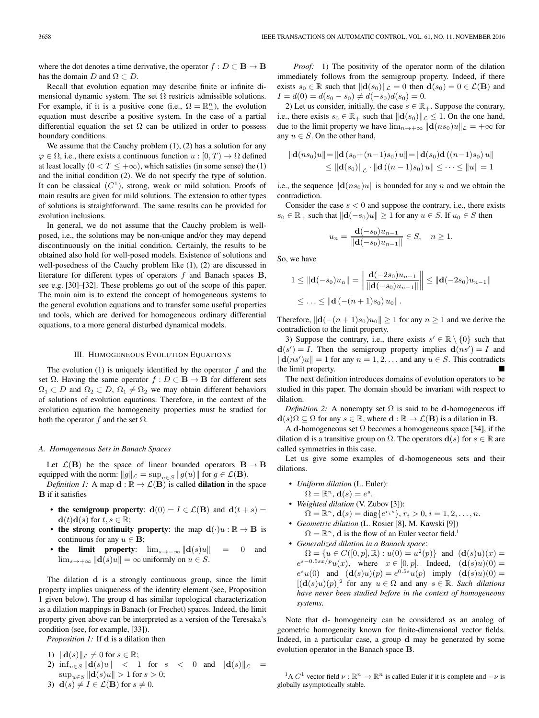where the dot denotes a time derivative, the operator  $f : D \subset \mathbf{B} \to \mathbf{B}$ has the domain D and  $\Omega \subset D$ .

Recall that evolution equation may describe finite or infinite dimensional dynamic system. The set  $\Omega$  restricts admissible solutions. For example, if it is a positive cone (i.e.,  $\Omega = \mathbb{R}^n_+$ ), the evolution equation must describe a positive system. In the case of a partial differential equation the set  $\Omega$  can be utilized in order to possess boundary conditions.

We assume that the Cauchy problem  $(1)$ ,  $(2)$  has a solution for any  $\varphi \in \Omega$ , i.e., there exists a continuous function  $u : [0, T) \to \Omega$  defined at least locally  $(0 < T \leq +\infty)$ , which satisfies (in some sense) the (1) and the initial condition (2). We do not specify the type of solution. It can be classical  $(C<sup>1</sup>)$ , strong, weak or mild solution. Proofs of main results are given for mild solutions. The extension to other types of solutions is straightforward. The same results can be provided for evolution inclusions.

In general, we do not assume that the Cauchy problem is wellposed, i.e., the solutions may be non-unique and/or they may depend discontinuously on the initial condition. Certainly, the results to be obtained also hold for well-posed models. Existence of solutions and well-posedness of the Cauchy problem like (1), (2) are discussed in literature for different types of operators f and Banach spaces **B**, see e.g. [30]–[32]. These problems go out of the scope of this paper. The main aim is to extend the concept of homogeneous systems to the general evolution equations and to transfer some useful properties and tools, which are derived for homogeneous ordinary differential equations, to a more general disturbed dynamical models.

## III. HOMOGENEOUS EVOLUTION EQUATIONS

The evolution  $(1)$  is uniquely identified by the operator  $f$  and the set  $\Omega$ . Having the same operator  $f : D \subset \mathbf{B} \to \mathbf{B}$  for different sets  $\Omega_1 \subset D$  and  $\Omega_2 \subset D$ ,  $\Omega_1 \neq \Omega_2$  we may obtain different behaviors of solutions of evolution equations. Therefore, in the context of the evolution equation the homogeneity properties must be studied for both the operator  $f$  and the set  $\Omega$ .

### *A. Homogeneous Sets in Banach Spaces*

Let  $\mathcal{L}(\mathbf{B})$  be the space of linear bounded operators  $\mathbf{B} \to \mathbf{B}$ equipped with the norm:  $||g||_{\mathcal{L}} = \sup_{u \in S} ||g(u)||$  for  $g \in \mathcal{L}(\mathbf{B})$ . *Definition 1:* A map  $d : \mathbb{R} \to \mathcal{L}(\mathbf{B})$  is called **dilation** in the space

**B** if it satisfies

- **the semigroup property**:  $d(0) = I \in \mathcal{L}(\mathbf{B})$  and  $d(t + s) =$  $\mathbf{d}(t)\mathbf{d}(s)$  for  $t, s \in \mathbb{R}$ ;
- **the strong continuity property**: the map  $\mathbf{d}(\cdot)u : \mathbb{R} \to \mathbf{B}$  is continuous for any  $u \in \mathbf{B}$ ;
- **the limit property**:  $\lim_{s\to-\infty} ||\mathbf{d}(s)u|| = 0$  and  $\lim_{s\to+\infty} \|\mathbf{d}(s)u\| = \infty$  uniformly on  $u \in S$ .

The dilation **d** is a strongly continuous group, since the limit property implies uniqueness of the identity element (see, Proposition 1 given below). The group **d** has similar topological characterization as a dilation mappings in Banach (or Frechet) spaces. Indeed, the limit property given above can be interpreted as a version of the Teresaka's condition (see, for example, [33]).

*Proposition 1:* If **d** is a dilation then

1) 
$$
||\mathbf{d}(s)||_{\mathcal{L}} \neq 0
$$
 for  $s \in \mathbb{R}$ ; \n2)  $\inf_{u \in S} ||\mathbf{d}(s)u|| < 1$  for  $s < 0$  and  $||\mathbf{d}(s)||_{\mathcal{L}} = \sup_{u \in S} ||\mathbf{d}(s)u|| > 1$  for  $s > 0$ ; \n3)  $\mathbf{d}(s) \neq I \in \mathcal{L}(\mathbf{B})$  for  $s \neq 0$ .

*Proof:* 1) The positivity of the operator norm of the dilation immediately follows from the semigroup property. Indeed, if there exists  $s_0 \in \mathbb{R}$  such that  $\|\mathbf{d}(s_0)\|_{\mathcal{L}} = 0$  then  $\mathbf{d}(s_0) = 0 \in \mathcal{L}(\mathbf{B})$  and  $I = d(0) = d(s_0 - s_0) \neq d(-s_0)d(s_0) = 0.$ 

2) Let us consider, initially, the case  $s \in \mathbb{R}_+$ . Suppose the contrary, i.e., there exists  $s_0 \in \mathbb{R}_+$  such that  $\|\mathbf{d}(s_0)\|_{\mathcal{L}} \leq 1$ . On the one hand, due to the limit property we have  $\lim_{n\to+\infty} ||{\bf d}(ns_0)u||_{\mathcal{L}} = +\infty$  for any  $u \in S$ . On the other hand,

$$
\|\mathbf{d}(n s_0)u\| = \|\mathbf{d}(s_0 + (n-1)s_0)u\| = \|\mathbf{d}(s_0)\mathbf{d}((n-1)s_0)u\|
$$
  
\n
$$
\leq \|\mathbf{d}(s_0)\|_{\mathcal{L}} \cdot \|\mathbf{d}((n-1)s_0)u\| \leq \cdots \leq \|u\| = 1
$$

i.e., the sequence  $\|\mathbf{d}(n s_0)u\|$  is bounded for any n and we obtain the contradiction.

Consider the case  $s < 0$  and suppose the contrary, i.e., there exists  $s_0 \in \mathbb{R}_+$  such that  $||\mathbf{d}(-s_0)u|| \geq 1$  for any  $u \in S$ . If  $u_0 \in S$  then

$$
u_n = \frac{\mathbf{d}(-s_0)u_{n-1}}{\|\mathbf{d}(-s_0)u_{n-1}\|} \in S, \quad n \ge 1.
$$

So, we have

$$
1 \leq ||\mathbf{d}(-s_0)u_n|| = \left\|\frac{\mathbf{d}(-2s_0)u_{n-1}}{||\mathbf{d}(-s_0)u_{n-1}||}\right\| \leq ||\mathbf{d}(-2s_0)u_{n-1}||
$$
  

$$
\leq \ldots \leq ||\mathbf{d}(-(n+1)s_0)u_0||.
$$

Therefore,  $\|\mathbf{d}(-(n+1)s_0)u_0\| \geq 1$  for any  $n \geq 1$  and we derive the contradiction to the limit property.

3) Suppose the contrary, i.e., there exists  $s' \in \mathbb{R} \setminus \{0\}$  such that  $\mathbf{d}(s') = I$ . Then the semigroup property implies  $\mathbf{d}(ns') = I$  and  $\|\mathbf{d}(ns')u\| = 1$  for any  $n = 1, 2, \dots$  and any  $u \in S$ . This contradicts the limit property.

The next definition introduces domains of evolution operators to be studied in this paper. The domain should be invariant with respect to dilation.

*Definition 2:* A nonempty set  $\Omega$  is said to be **d**-homogeneous iff  $\mathbf{d}(s)\Omega \subseteq \Omega$  for any  $s \in \mathbb{R}$ , where  $\mathbf{d} : \mathbb{R} \to \mathcal{L}(\mathbf{B})$  is a dilation in **B**.

A **d**-homogeneous set  $\Omega$  becomes a homogeneous space [34], if the dilation **d** is a transitive group on  $\Omega$ . The operators **d**(s) for  $s \in \mathbb{R}$  are called symmetries in this case.

Let us give some examples of **d**-homogeneous sets and their dilations.

- *Uniform dilation* (L. Euler):  $\Omega = \mathbb{R}^n$ ,  $\mathbf{d}(s) = e^s$ .
- *Weighted dilation* (V. Zubov [3]):

$$
\Omega = \mathbb{R}^n, \mathbf{d}(s) = \text{diag}\{e^{r_i s}\}, r_i > 0, i = 1, 2, \dots, n.
$$

• *Geometric dilation* (L. Rosier [8], M. Kawski [9])  $\Omega = \mathbb{R}^n$ , **d** is the flow of an Euler vector field.<sup>1</sup>

• *Generalized dilation in a Banach space*:  $\Omega = \{u \in C([0, p], \mathbb{R}) : u(0) = u^2(p)\}\$ and  $(\mathbf{d}(s)u)(x) =$  $e^{s-0.5sx/p}u(x)$ , where  $x \in [0, p]$ . Indeed,  $(\mathbf{d}(s)u)(0) =$  $e^{s}u(0)$  and  $(\mathbf{d}(s)u)(p) = e^{0.5s}u(p)$  imply  $(\mathbf{d}(s)u)(0) =$  $[(\mathbf{d}(s)u)(p)]^2$  for any  $u \in \Omega$  and any  $s \in \mathbb{R}$ . *Such dilations have never been studied before in the context of homogeneous systems*.

Note that **d**- homogeneity can be considered as an analog of geometric homogeneity known for finite-dimensional vector fields. Indeed, in a particular case, a group **d** may be generated by some evolution operator in the Banach space **B**.

<sup>&</sup>lt;sup>1</sup>A  $C^1$  vector field  $\nu : \mathbb{R}^n \to \mathbb{R}^n$  is called Euler if it is complete and  $-\nu$  is globally asymptotically stable.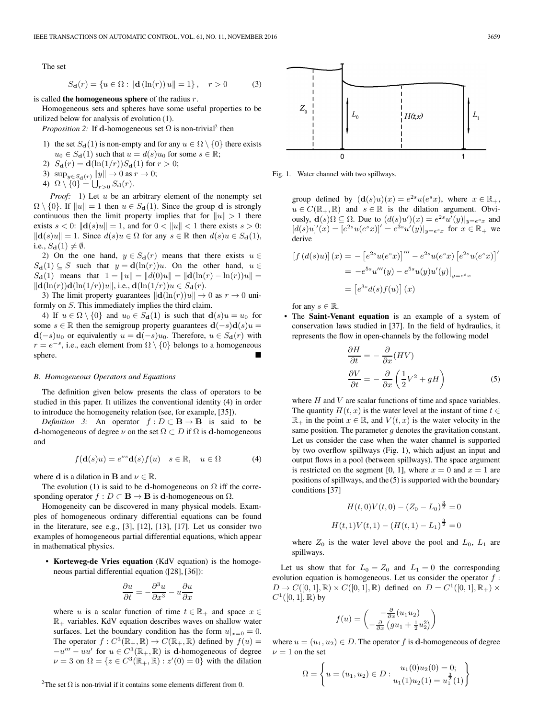The set

$$
S_{\mathbf{d}}(r) = \{ u \in \Omega : ||\mathbf{d}(\ln(r)) u|| = 1 \}, \quad r > 0 \tag{3}
$$

is called **the homogeneous sphere** of the radius r.

Homogeneous sets and spheres have some useful properties to be utilized below for analysis of evolution (1).

*Proposition 2:* If **d**-homogeneous set  $\Omega$  is non-trivial<sup>2</sup> then

- 1) the set  $S_d(1)$  is non-empty and for any  $u \in \Omega \setminus \{0\}$  there exists  $u_0 \in S_d(1)$  such that  $u = d(s)u_0$  for some  $s \in \mathbb{R}$ ;
- 2)  $S_{\bf d}(r) = {\bf d}(\ln(1/r))S_{\bf d}(1)$  for  $r > 0$ ;
- 3)  $\sup_{y \in S_{\mathbf{d}}(r)} \|y\| \to 0$  as  $r \to 0$ ;
- 4)  $\Omega \setminus \{0\} = \bigcup_{r>0} S_{\mathbf{d}}(r)$ .

*Proof:* 1) Let u be an arbitrary element of the nonempty set  $\Omega \setminus \{0\}$ . If  $||u|| = 1$  then  $u \in S_d(1)$ . Since the group **d** is strongly continuous then the limit property implies that for  $||u|| > 1$  there exists  $s < 0$ :  $\|\mathbf{d}(s)u\| = 1$ , and for  $0 < ||u|| < 1$  there exists  $s > 0$ :  $\|\mathbf{d}(s)u\| = 1$ . Since  $d(s)u \in \Omega$  for any  $s \in \mathbb{R}$  then  $d(s)u \in S_{\mathbf{d}}(1)$ , i.e.,  $S_{\mathbf{d}}(1) \neq \emptyset$ .

2) On the one hand,  $y \in S_d(r)$  means that there exists  $u \in$  $S_d(1) \subseteq S$  such that  $y = d(\ln(r))u$ . On the other hand,  $u \in$  $S_{\bf d}(1)$  means that  $1 = ||u|| = ||d(0)u|| = ||d(\ln(r) - \ln(r))u|| =$  $\|\mathbf{d}(\ln(r))\mathbf{d}(\ln(1/r))u\|$ , i.e.,  $\mathbf{d}(\ln(1/r))u \in S_{\mathbf{d}}(r)$ .

3) The limit property guarantees  $\|\mathbf{d}(\ln(r))u\| \to 0$  as  $r \to 0$  uniformly on S. This immediately implies the third claim.

4) If  $u \in \Omega \setminus \{0\}$  and  $u_0 \in S_d(1)$  is such that  $\mathbf{d}(s)u = u_0$  for some  $s \in \mathbb{R}$  then the semigroup property guarantees  $\mathbf{d}(-s)\mathbf{d}(s)u =$ **d**(−s)u<sub>0</sub> or equivalently  $u = d(-s)u_0$ . Therefore,  $u \in S_d(r)$  with  $r = e^{-s}$ , i.e., each element from  $\Omega \setminus \{0\}$  belongs to a homogeneous sphere.

#### *B. Homogeneous Operators and Equations*

The definition given below presents the class of operators to be studied in this paper. It utilizes the conventional identity (4) in order to introduce the homogeneity relation (see, for example, [35]).

*Definition* 3: An operator  $f : D \subset \mathbf{B} \to \mathbf{B}$  is said to be **d**-homogeneous of degree  $\nu$  on the set  $\Omega \subset D$  if  $\Omega$  is **d**-homogeneous and

$$
f(\mathbf{d}(s)u) = e^{\nu s}\mathbf{d}(s)f(u) \quad s \in \mathbb{R}, \quad u \in \Omega \tag{4}
$$

where **d** is a dilation in **B** and  $\nu \in \mathbb{R}$ .

The evolution (1) is said to be **d**-homogeneous on  $\Omega$  iff the corresponding operator  $f : D \subset \mathbf{B} \to \mathbf{B}$  is **d**-homogeneous on  $\Omega$ .

Homogeneity can be discovered in many physical models. Examples of homogeneous ordinary differential equations can be found in the literature, see e.g., [3], [12], [13], [17]. Let us consider two examples of homogeneous partial differential equations, which appear in mathematical physics.

• **Korteweg-de Vries equation** (KdV equation) is the homogeneous partial differential equation ([28], [36]):

$$
\frac{\partial u}{\partial t} = -\frac{\partial^3 u}{\partial x^3} - u \frac{\partial u}{\partial x}
$$

where u is a scalar function of time  $t \in \mathbb{R}_+$  and space  $x \in$  $\mathbb{R}_+$  variables. KdV equation describes waves on shallow water surfaces. Let the boundary condition has the form  $u|_{x=0} = 0$ . The operator  $f: C^3(\mathbb{R}_+, \mathbb{R}) \to C(\mathbb{R}_+, \mathbb{R})$  defined by  $f(u) =$  $-u''' - uu'$  for  $u \in C^3(\mathbb{R}_+, \mathbb{R})$  is **d**-homogeneous of degree  $\nu = 3$  on  $\Omega = \{ z \in C^3(\mathbb{R}_+, \mathbb{R}) : z'(0) = 0 \}$  with the dilation

<sup>2</sup>The set  $\Omega$  is non-trivial if it contains some elements different from 0.



Fig. 1. Water channel with two spillways.

group defined by  $(\mathbf{d}(s)u)(x) = e^{2s}u(e^{s}x)$ , where  $x \in \mathbb{R}_{+}$ ,  $u \in C(\mathbb{R}_+, \mathbb{R})$  and  $s \in \mathbb{R}$  is the dilation argument. Obviously,  $\mathbf{d}(s)\Omega \subseteq \Omega$ . Due to  $(d(s)u')(x) = e^{2s}u'(y)|_{y=e^{s}x}$  and  $[d(s)u]'(x) = [e^{2s}u(e^{s}x)]' = e^{3s}u'(y)|_{y=e^{s}x}$  for  $x \in \mathbb{R}_+$  we derive

$$
[f(d(s)u)](x) = -[e^{2s}u(e^sx)]''' - e^{2s}u(e^sx)[e^{2s}u(e^sx)]'
$$
  

$$
= -e^{5s}u'''(y) - e^{5s}u(y)u'(y)|_{y=e^sx}
$$
  

$$
= [e^{3s}d(s)f(u)](x)
$$

for any  $s \in \mathbb{R}$ .

• The **Saint-Venant equation** is an example of a system of conservation laws studied in [37]. In the field of hydraulics, it represents the flow in open-channels by the following model

$$
\frac{\partial H}{\partial t} = -\frac{\partial}{\partial x}(HV) \n\frac{\partial V}{\partial t} = -\frac{\partial}{\partial x}\left(\frac{1}{2}V^2 + gH\right)
$$
\n(5)

where  $H$  and  $V$  are scalar functions of time and space variables. The quantity  $H(t, x)$  is the water level at the instant of time  $t \in$  $\mathbb{R}_+$  in the point  $x \in \mathbb{R}$ , and  $V(t, x)$  is the water velocity in the same position. The parameter  $q$  denotes the gravitation constant. Let us consider the case when the water channel is supported by two overflow spillways (Fig. 1), which adjust an input and output flows in a pool (between spillways). The space argument is restricted on the segment [0, 1], where  $x = 0$  and  $x = 1$  are positions of spillways, and the (5) is supported with the boundary conditions [37]

$$
H(t,0)V(t,0) - (Z_0 - L_0)^{\frac{3}{2}} = 0
$$
  

$$
H(t,1)V(t,1) - (H(t,1) - L_1)^{\frac{3}{2}} = 0
$$

where  $Z_0$  is the water level above the pool and  $L_0$ ,  $L_1$  are spillways.

Let us show that for  $L_0 = Z_0$  and  $L_1 = 0$  the corresponding evolution equation is homogeneous. Let us consider the operator  $f$ :  $D \to C([0,1], \mathbb{R}) \times C([0,1], \mathbb{R})$  defined on  $D = C^1([0,1], \mathbb{R}_+) \times$  $C^1([0, 1], \mathbb{R})$  by

$$
f(u) = \begin{pmatrix} -\frac{\partial}{\partial x}(u_1 u_2) \\ -\frac{\partial}{\partial x}(gu_1 + \frac{1}{2}u_2^2) \end{pmatrix}
$$

where  $u = (u_1, u_2) \in D$ . The operator f is **d**-homogeneous of degree  $\nu = 1$  on the set

$$
\Omega = \left\{ u = (u_1, u_2) \in D : \begin{matrix} u_1(0)u_2(0) = 0; \\ u_1(1)u_2(1) = u_1^{\frac{3}{2}}(1) \end{matrix} \right\}
$$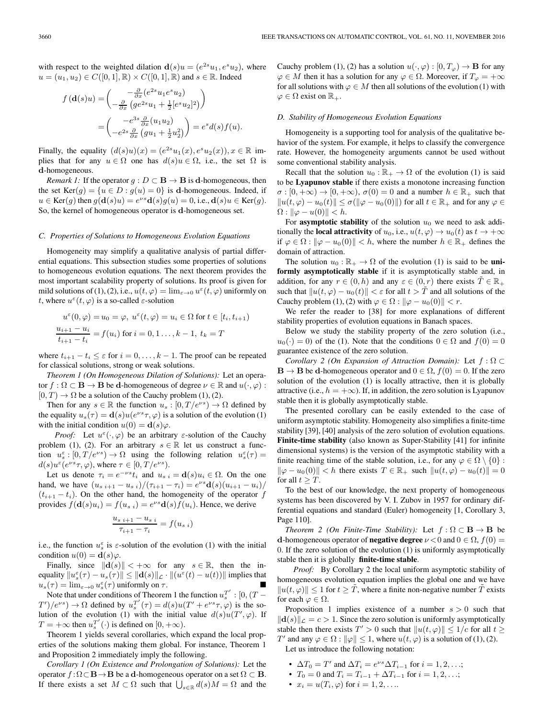with respect to the weighted dilation  $\mathbf{d}(s)u = (e^{2s}u_1, e^s u_2)$ , where  $u = (u_1, u_2) \in C([0, 1], \mathbb{R}) \times C([0, 1], \mathbb{R})$  and  $s \in \mathbb{R}$ . Indeed

$$
f(\mathbf{d}(s)u) = \begin{pmatrix} -\frac{\partial}{\partial x}(e^{2s}u_1e^{s}u_2) \\ -\frac{\partial}{\partial x}(ge^{2s}u_1 + \frac{1}{2}[e^{s}u_2]^2) \end{pmatrix}
$$
  
= 
$$
\begin{pmatrix} -e^{3s}\frac{\partial}{\partial x}(u_1u_2) \\ -e^{2s}\frac{\partial}{\partial x}(gu_1 + \frac{1}{2}u_2^2) \end{pmatrix} = e^{s}d(s)f(u).
$$

Finally, the equality  $(d(s)u)(x)=(e^{2s}u_1(x), e^s u_2(x)), x \in \mathbb{R}$  implies that for any  $u \in \Omega$  one has  $d(s)u \in \Omega$ , i.e., the set  $\Omega$  is **d**-homogeneous.

*Remark 1:* If the operator  $g: D \subset \mathbf{B} \to \mathbf{B}$  is **d**-homogeneous, then the set  $Ker(g) = {u \in D : g(u) = 0}$  is **d**-homogeneous. Indeed, if  $u \in \text{Ker}(q)$  then  $g(\mathbf{d}(s)u) = e^{\nu s}\mathbf{d}(s)g(u) = 0$ , i.e.,  $\mathbf{d}(s)u \in \text{Ker}(q)$ . So, the kernel of homogeneous operator is **d**-homogeneous set.

#### *C. Properties of Solutions to Homogeneous Evolution Equations*

Homogeneity may simplify a qualitative analysis of partial differential equations. This subsection studies some properties of solutions to homogeneous evolution equations. The next theorem provides the most important scalability property of solutions. Its proof is given for mild solutions of (1), (2), i.e.,  $u(t, \varphi) = \lim_{\varepsilon \to 0} u^{\varepsilon}(t, \varphi)$  uniformly on t, where  $u^{\varepsilon}(t, \varphi)$  is a so-called  $\varepsilon$ -solution

$$
u^{\varepsilon}(0,\varphi) = u_0 = \varphi, \ u^{\varepsilon}(t,\varphi) = u_i \in \Omega \text{ for } t \in [t_i, t_{i+1})
$$

$$
\frac{u_{i+1} - u_i}{t_{i+1} - t_i} = f(u_i) \text{ for } i = 0, 1, \dots, k-1, \ t_k = T
$$

where  $t_{i+1} - t_i \leq \varepsilon$  for  $i = 0, \ldots, k - 1$ . The proof can be repeated for classical solutions, strong or weak solutions.

*Theorem 1 (On Homogeneous Dilation of Solutions):* Let an operator  $f : \Omega \subset \mathbf{B} \to \mathbf{B}$  be **d**-homogeneous of degree  $\nu \in \mathbb{R}$  and  $u(\cdot, \varphi)$ :  $[0, T] \rightarrow \Omega$  be a solution of the Cauchy problem (1), (2).

Then for any  $s \in \mathbb{R}$  the function  $u_s : [0, T/e^{\nu s}] \to \Omega$  defined by the equality  $u_s(\tau) = \mathbf{d}(s)u(e^{\nu s}\tau, \varphi)$  is a solution of the evolution (1) with the initial condition  $u(0) = \mathbf{d}(s)\varphi$ .

*Proof:* Let  $u^{\varepsilon}(\cdot,\varphi)$  be an arbitrary  $\varepsilon$ -solution of the Cauchy problem (1), (2). For an arbitrary  $s \in \mathbb{R}$  let us construct a function  $u_s^{\varepsilon} : [0, T/e^{\nu s}] \to \Omega$  using the following relation  $u_s^{\varepsilon}(\tau) =$  $d(s)u^{\varepsilon}(e^{\nu s}\tau,\varphi)$ , where  $\tau \in [0,T/e^{\nu s})$ .

Let us denote  $\tau_i = e^{-\nu s} t_i$  and  $u_{s,i} = \mathbf{d}(s) u_i \in \Omega$ . On the one hand, we have  $(u_{s i+1} - u_{s i})/(\tau_{i+1} - \tau_i) = e^{\nu s} \mathbf{d}(s)(u_{i+1} - u_i)$  $(t_{i+1} - t_i)$ . On the other hand, the homogeneity of the operator f provides  $f(\mathbf{d}(s)u_i) = f(u_{s,i}) = e^{\nu s}\mathbf{d}(s)f(u_i)$ . Hence, we derive

$$
\frac{u_{s\ i+1} - u_{s\ i}}{\tau_{i+1} - \tau_i} = f(u_{s\ i})
$$

i.e., the function  $u_s^{\varepsilon}$  is  $\varepsilon$ -solution of the evolution (1) with the initial condition  $u(0) = \mathbf{d}(s)\varphi$ .

Finally, since  $\|\mathbf{d}(s)\| < +\infty$  for any  $s \in \mathbb{R}$ , then the inequality  $||u_s^{\varepsilon}(\tau) - u_s(\tau)|| \le ||\mathbf{d}(s)||_{\mathcal{L}} \cdot ||(u^{\varepsilon}(t) - u(t))||$  implies that  $u_s(\tau) = \lim_{\varepsilon \to 0} u_s^{\varepsilon}(\tau)$  uniformly on  $\tau$ .

Note that under conditions of Theorem 1 the function  $u_s^{T'}$ : [0, (T –  $T'$ )/ $e^{\nu s}$ )  $\rightarrow \Omega$  defined by  $u_s^{T'}(\tau) = d(s)u(T' + e^{\nu s}\tau, \varphi)$  is the solution of the evolution (1) with the initial value  $d(s)u(T', \varphi)$ . If  $T = +\infty$  then  $u_s^{T'}(\cdot)$  is defined on  $[0, +\infty)$ .

Theorem 1 yields several corollaries, which expand the local properties of the solutions making them global. For instance, Theorem 1 and Proposition 2 immediately imply the following.

*Corollary 1 (On Existence and Prolongation of Solutions):* Let the operator  $f : \Omega \subset \mathbf{B} \to \mathbf{B}$  be a **d**-homogeneous operator on a set  $\Omega \subset \mathbf{B}$ . If there exists a set  $M \subset \Omega$  such that  $\bigcup_{s \in \mathbb{R}} d(s)M = \Omega$  and the

Cauchy problem (1), (2) has a solution  $u(\cdot, \varphi) : [0, T_{\varphi}) \to \mathbf{B}$  for any  $\varphi \in M$  then it has a solution for any  $\varphi \in \Omega$ . Moreover, if  $T_{\varphi} = +\infty$ for all solutions with  $\varphi \in M$  then all solutions of the evolution (1) with  $\varphi \in \Omega$  exist on  $\mathbb{R}_+$ .

#### *D. Stability of Homogeneous Evolution Equations*

Homogeneity is a supporting tool for analysis of the qualitative behavior of the system. For example, it helps to classify the convergence rate. However, the homogeneity arguments cannot be used without some conventional stability analysis.

Recall that the solution  $u_0 : \mathbb{R}_+ \to \Omega$  of the evolution (1) is said to be **Lyapunov stable** if there exists a monotone increasing function  $\sigma : [0, +\infty) \to [0, +\infty)$ ,  $\sigma(0) = 0$  and a number  $h \in \mathbb{R}_+$  such that  $||u(t, \varphi) - u_0(t)|| \le \sigma(||\varphi - u_0(0)||)$  for all  $t \in \mathbb{R}_+$  and for any  $\varphi \in$  $\Omega: \|\varphi - u(0)\| < h.$ 

For **asymptotic stability** of the solution  $u_0$  we need to ask additionally the **local attractivity** of  $u_0$ , i.e.,  $u(t, \varphi) \to u_0(t)$  as  $t \to +\infty$ if  $\varphi \in \Omega : ||\varphi - u_0(0)|| < h$ , where the number  $h \in \mathbb{R}_+$  defines the domain of attraction.

The solution  $u_0 : \mathbb{R}_+ \to \Omega$  of the evolution (1) is said to be **uniformly asymptotically stable** if it is asymptotically stable and, in addition, for any  $r \in (0, h)$  and any  $\varepsilon \in (0, r)$  there exists  $T \in \mathbb{R}_+$ such that  $||u(t, \varphi) - u_0(t)|| < \varepsilon$  for all  $t > T$  and all solutions of the Cauchy problem (1), (2) with  $\varphi \in \Omega : ||\varphi - u_0(0)|| < r$ .

We refer the reader to [38] for more explanations of different stability properties of evolution equations in Banach spaces.

Below we study the stability property of the zero solution (i.e.,  $u_0(\cdot)=0$  of the (1). Note that the conditions  $0 \in \Omega$  and  $f(0) = 0$ guarantee existence of the zero solution.

*Corollary 2 (On Expansion of Attraction Domain):* Let f : Ω ⊂  $\mathbf{B} \to \mathbf{B}$  be **d**-homogeneous operator and  $0 \in \Omega$ ,  $f(0) = 0$ . If the zero solution of the evolution (1) is locally attractive, then it is globally attractive (i.e.,  $h = +\infty$ ). If, in addition, the zero solution is Lyapunov stable then it is globally asymptotically stable.

The presented corollary can be easily extended to the case of uniform asymptotic stability. Homogeneity also simplifies a finite-time stability [39], [40] analysis of the zero solution of evolution equations. **Finite-time stability** (also known as Super-Stability [41] for infinite dimensional systems) is the version of the asymptotic stability with a finite reaching time of the stable solution, i.e., for any  $\varphi \in \Omega \setminus \{0\}$ :  $\|\varphi - u_0(0)\| < h$  there exists  $T \in \mathbb{R}_+$  such  $\|u(t, \varphi) - u_0(t)\| = 0$ for all  $t > T$ .

To the best of our knowledge, the next property of homogeneous systems has been discovered by V. I. Zubov in 1957 for ordinary differential equations and standard (Euler) homogeneity [1, Corollary 3, Page 110].

*Theorem 2 (On Finite-Time Stability):* Let  $f : \Omega \subset \mathbf{B} \to \mathbf{B}$  be **d**-homogeneous operator of **negative degree**  $\nu < 0$  and  $0 \in \Omega$ ,  $f(0) =$ 0. If the zero solution of the evolution (1) is uniformly asymptotically stable then it is globally **finite-time stable**.

*Proof:* By Corollary 2 the local uniform asymptotic stability of homogeneous evolution equation implies the global one and we have  $||u(t, \varphi)|| \leq 1$  for  $t \geq T$ , where a finite non-negative number T exists for each  $\varphi \in \Omega$ .

Proposition 1 implies existence of a number  $s > 0$  such that  $\|\mathbf{d}(s)\|_{\mathcal{L}} = c > 1$ . Since the zero solution is uniformly asymptotically stable then there exists  $T' > 0$  such that  $||u(t, \varphi)|| \leq 1/c$  for all  $t \geq$ T' and any  $\varphi \in \Omega : ||\varphi|| \leq 1$ , where  $u(t, \varphi)$  is a solution of (1), (2). Let us introduce the following notation:

- $\Delta T_0 = T'$  and  $\Delta T_i = e^{\nu s} \Delta T_{i-1}$  for  $i = 1, 2, \ldots;$
- $T_0 = 0$  and  $T_i = T_{i-1} + \Delta T_{i-1}$  for  $i = 1, 2, ...;$
- $x_i = u(T_i, \varphi)$  for  $i = 1, 2, ...$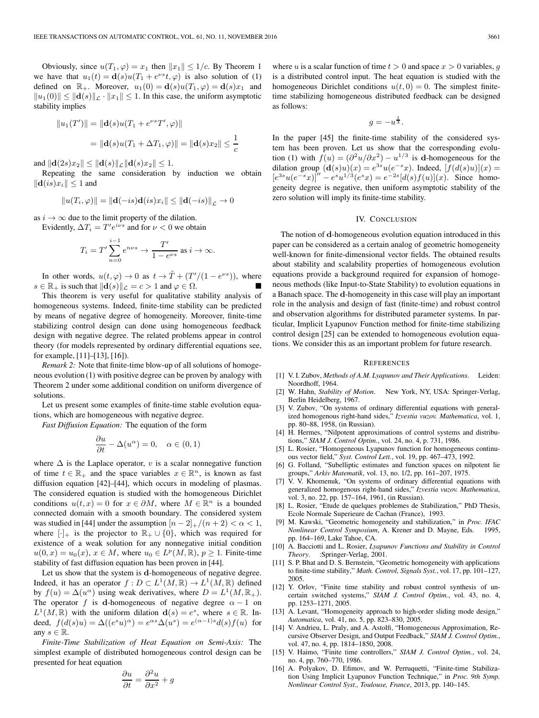Obviously, since  $u(T_1, \varphi) = x_1$  then  $||x_1|| \leq 1/c$ . By Theorem 1 we have that  $u_1(t) = \mathbf{d}(s)u(T_1 + e^{\nu s}t, \varphi)$  is also solution of (1) defined on  $\mathbb{R}_+$ . Moreover,  $u_1(0) = \mathbf{d}(s)u(T_1, \varphi) = \mathbf{d}(s)x_1$  and  $||u_1(0)|| \le ||\mathbf{d}(s)||_{\mathcal{L}} \cdot ||x_1|| \le 1$ . In this case, the uniform asymptotic stability implies

$$
||u_1(T')|| = ||\mathbf{d}(s)u(T_1 + e^{vs}T', \varphi)||
$$
  
= 
$$
||\mathbf{d}(s)u(T_1 + \Delta T_1, \varphi)|| = ||\mathbf{d}(s)x_2|| \le \frac{1}{c}
$$

and  $\|\mathbf{d}(2s)x_2\| \leq \|\mathbf{d}(s)\|_{\mathcal{L}} \|\mathbf{d}(s)x_2\| \leq 1.$ 

Repeating the same consideration by induction we obtain  $\|\mathbf{d}(is)x_i\| \leq 1$  and

$$
||u(T_i, \varphi)|| = ||\mathbf{d}(-is)\mathbf{d}(is)x_i|| \le ||\mathbf{d}(-is)||_{\mathcal{L}} \to 0
$$

as  $i \rightarrow \infty$  due to the limit property of the dilation.

Evidently,  $\Delta T_i = T' e^{i\nu s}$  and for  $\nu < 0$  we obtain

$$
T_i = T' \sum_{n=0}^{i-1} e^{n\nu s} \to \frac{T'}{1 - e^{\nu s}} \text{ as } i \to \infty.
$$

In other words,  $u(t, \varphi) \to 0$  as  $t \to \tilde{T} + (T'/(1 - e^{\nu s}))$ , where  $s \in \mathbb{R}_+$  is such that  $\|\mathbf{d}(s)\|_{\mathcal{L}} = c > 1$  and  $\varphi \in \Omega$ .

This theorem is very useful for qualitative stability analysis of homogeneous systems. Indeed, finite-time stability can be predicted by means of negative degree of homogeneity. Moreover, finite-time stabilizing control design can done using homogeneous feedback design with negative degree. The related problems appear in control theory (for models represented by ordinary differential equations see, for example, [11]–[13], [16]).

*Remark 2:* Note that finite-time blow-up of all solutions of homogeneous evolution (1) with positive degree can be proven by analogy with Theorem 2 under some additional condition on uniform divergence of solutions.

Let us present some examples of finite-time stable evolution equations, which are homogeneous with negative degree.

*Fast Diffusion Equation:* The equation of the form

$$
\frac{\partial u}{\partial t} - \Delta(u^{\alpha}) = 0, \quad \alpha \in (0, 1)
$$

where  $\Delta$  is the Laplace operator, v is a scalar nonnegative function of time  $t \in \mathbb{R}_+$  and the space variables  $x \in \mathbb{R}^n$ , is known as fast diffusion equation [42]–[44], which occurs in modeling of plasmas. The considered equation is studied with the homogeneous Dirichlet conditions  $u(t, x) = 0$  for  $x \in \partial M$ , where  $M \in \mathbb{R}^n$  is a bounded connected domain with a smooth boundary. The considered system was studied in [44] under the assumption  $[n-2]_{+}/(n+2) < \alpha < 1$ , where  $[\cdot]_+$  is the projector to  $\mathbb{R}_+ \cup \{0\}$ , which was required for existence of a weak solution for any nonnegative initial condition  $u(0, x) = u_0(x), x \in M$ , where  $u_0 \in L^p(M, \mathbb{R})$ ,  $p \ge 1$ . Finite-time stability of fast diffusion equation has been proven in [44].

Let us show that the system is **d**-homogeneous of negative degree. Indeed, it has an operator  $f: D \subset L^1(M, \mathbb{R}) \to L^1(M, \mathbb{R})$  defined by  $f(u) = \Delta(u^{\alpha})$  using weak derivatives, where  $D = L^{1}(M, \mathbb{R}_{+}).$ The operator f is **d**-homogeneous of negative degree  $\alpha - 1$  on  $L^1(M, \mathbb{R})$  with the uniform dilation  $\mathbf{d}(s) = e^s$ , where  $s \in \mathbb{R}$ . Indeed,  $f(d(s)u) = \Delta((e^s u)^\alpha) = e^{\alpha s} \Delta(u^s) = e^{(\alpha-1)s} d(s) f(u)$  for any  $s \in \mathbb{R}$ .

*Finite-Time Stabilization of Heat Equation on Semi-Axis:* The simplest example of distributed homogeneous control design can be presented for heat equation

$$
\frac{\partial u}{\partial t} = \frac{\partial^2 u}{\partial x^2} + g
$$

where u is a scalar function of time  $t > 0$  and space  $x > 0$  variables, q is a distributed control input. The heat equation is studied with the homogeneous Dirichlet conditions  $u(t, 0) = 0$ . The simplest finitetime stabilizing homogeneous distributed feedback can be designed as follows:

$$
g = -u^{\frac{1}{3}}.
$$

In the paper [45] the finite-time stability of the considered system has been proven. Let us show that the corresponding evolution (1) with  $f(u)=(\partial^2 u/\partial x^2) - u^{1/3}$  is **d**-homogeneous for the dilation group  $(\mathbf{d}(s)u)(x) = e^{3s}u(e^{-s}x)$ . Indeed,  $[f(d(s)u)](x) =$  $[e^{3s}u(e^{-s}x)]'' - e^{s}u^{1/3}(e^{s}x) = e^{-2s}[d(s)f(u)](x)$ . Since homogeneity degree is negative, then uniform asymptotic stability of the zero solution will imply its finite-time stability.

## IV. CONCLUSION

The notion of **d**-homogeneous evolution equation introduced in this paper can be considered as a certain analog of geometric homogeneity well-known for finite-dimensional vector fields. The obtained results about stability and scalability properties of homogeneous evolution equations provide a background required for expansion of homogeneous methods (like Input-to-State Stability) to evolution equations in a Banach space. The **d**-homogeneity in this case will play an important role in the analysis and design of fast (finite-time) and robust control and observation algorithms for distributed parameter systems. In particular, Implicit Lyapunov Function method for finite-time stabilizing control design [25] can be extended to homogeneous evolution equations. We consider this as an important problem for future research.

#### **REFERENCES**

- [1] V. I. Zubov, *Methods of A.M. Lyapunov and Their Applications*. Leiden: Noordhoff, 1964.
- [2] W. Hahn, *Stability of Motion*. New York, NY, USA: Springer-Verlag, Berlin Heidelberg, 1967.
- V. Zubov, "On systems of ordinary differential equations with generalized homogenous right-hand sides," *Izvestia vuzov. Mathematica*, vol. 1, pp. 80–88, 1958, (in Russian).
- [4] H. Hermes, "Nilpotent approximations of control systems and distributions," *SIAM J. Control Optim.*, vol. 24, no. 4, p. 731, 1986.
- [5] L. Rosier, "Homogeneous Lyapunov function for homogeneous continuous vector field," *Syst. Control Lett.*, vol. 19, pp. 467–473, 1992.
- [6] G. Folland, "Subelliptic estimates and function spaces on nilpotent lie groups," *Arkiv Matematik*, vol. 13, no. 1/2, pp. 161–207, 1975.
- [7] V. V. Khomenuk, "On systems of ordinary differential equations with generalized homogenous right-hand sides," *Izvestia vuzov. Mathematica*, vol. 3, no. 22, pp. 157–164, 1961, (in Russian).
- [8] L. Rosier, "Etude de quelques problemes de Stabilization," PhD Thesis, Ecole Normale Superieure de Cachan (France), 1993.
- [9] M. Kawski, "Geometric homogeneity and stabilization," in *Proc. IFAC Nonlinear Control Symposium*, A. Krener and D. Mayne, Eds. 1995, pp. 164–169, Lake Tahoe, CA.
- [10] A. Bacciotti and L. Rosier, *Lyapunov Functions and Stability in Control Theory*. :Springer-Verlag, 2001.
- [11] S. P. Bhat and D. S. Bernstein, "Geometric homogeneity with applications to finite-time stability," *Math. Control, Signals Syst.*, vol. 17, pp. 101–127, 2005.
- [12] Y. Orlov, "Finite time stability and robust control synthesis of uncertain switched systems," *SIAM J. Control Optim.*, vol. 43, no. 4, pp. 1253–1271, 2005.
- [13] A. Levant, "Homogeneity approach to high-order sliding mode design," *Automatica*, vol. 41, no. 5, pp. 823–830, 2005.
- [14] V. Andrieu, L. Praly, and A. Astolfi, "Homogeneous Approximation, Recursive Observer Design, and Output Feedback," *SIAM J. Control Optim.*, vol. 47, no. 4, pp. 1814–1850, 2008.
- [15] V. Haimo, "Finite time controllers," *SIAM J. Control Optim.*, vol. 24, no. 4, pp. 760–770, 1986.
- [16] A. Polyakov, D. Efimov, and W. Perruquetti, "Finite-time Stabilization Using Implicit Lyapunov Function Technique," in *Proc. 9th Symp. Nonlinear Control Syst., Toulouse, France*, 2013, pp. 140–145.